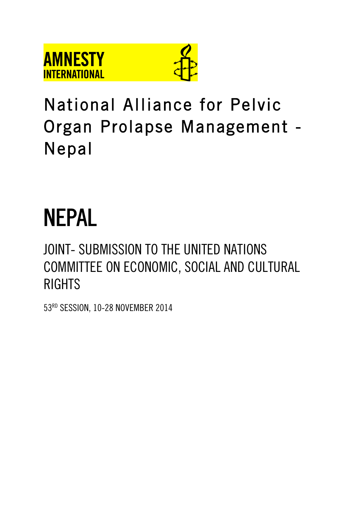



# National Alliance for Pelvic Organ Prolapse Management - Nepal

# NEPAL

# JOINT- SUBMISSION TO THE UNITED NATIONS COMMITTEE ON ECONOMIC, SOCIAL AND CULTURAL RIGHTS

53RD SESSION, 10-28 NOVEMBER 2014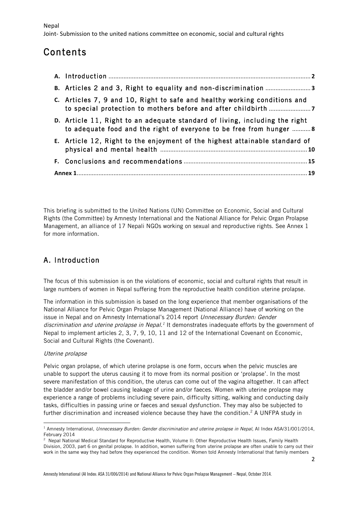Joint- Submission to the united nations committee on economic, social and cultural rights

# Contents

| C. Articles 7, 9 and 10, Right to safe and healthy working conditions and                                                                           |  |  |
|-----------------------------------------------------------------------------------------------------------------------------------------------------|--|--|
| D. Article 11, Right to an adequate standard of living, including the right<br>to adequate food and the right of everyone to be free from hunger  8 |  |  |
| E. Article 12, Right to the enjoyment of the highest attainable standard of                                                                         |  |  |
|                                                                                                                                                     |  |  |
|                                                                                                                                                     |  |  |

This briefing is submitted to the United Nations (UN) Committee on Economic, Social and Cultural Rights (the Committee) by Amnesty International and the National Alliance for Pelvic Organ Prolapse Management, an alliance of 17 Nepali NGOs working on sexual and reproductive rights. See Annex 1 for more information.

# A. Introduction

The focus of this submission is on the violations of economic, social and cultural rights that result in large numbers of women in Nepal suffering from the reproductive health condition uterine prolapse.

The information in this submission is based on the long experience that member organisations of the National Alliance for Pelvic Organ Prolapse Management (National Alliance) have of working on the issue in Nepal and on Amnesty International's 2014 report Unnecessary Burden: Gender discrimination and uterine prolapse in Nepal.<sup>1</sup> It demonstrates inadequate efforts by the government of Nepal to implement articles 2, 3, 7, 9, 10, 11 and 12 of the International Covenant on Economic, Social and Cultural Rights (the Covenant).

#### Uterine prolapse

<u> 1989 - Jan Samuel Barbara, margaret e</u>

Pelvic organ prolapse, of which uterine prolapse is one form, occurs when the pelvic muscles are unable to support the uterus causing it to move from its normal position or 'prolapse'. In the most severe manifestation of this condition, the uterus can come out of the vagina altogether. It can affect the bladder and/or bowel causing leakage of urine and/or faeces. Women with uterine prolapse may experience a range of problems including severe pain, difficulty sitting, walking and conducting daily tasks, difficulties in passing urine or faeces and sexual dysfunction. They may also be subjected to further discrimination and increased violence because they have the condition.<sup>2</sup> A UNFPA study in

<sup>&</sup>lt;sup>1</sup> Amnesty International, Unnecessary Burden: Gender discrimination and uterine prolapse in Nepal, AI Index ASA/31/001/2014, February 2014

<sup>&</sup>lt;sup>2</sup> Nepal National Medical Standard for Reproductive Health, Volume II: Other Reproductive Health Issues, Family Health Division, 2003, part 6 on genital prolapse. In addition, women suffering from uterine prolapse are often unable to carry out their work in the same way they had before they experienced the condition. Women told Amnesty International that family members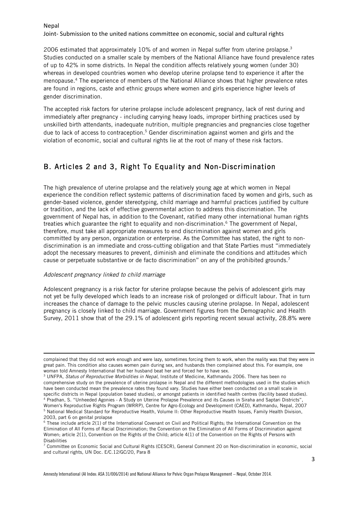Joint- Submission to the united nations committee on economic, social and cultural rights

2006 estimated that approximately 10% of and women in Nepal suffer from uterine prolapse.3 Studies conducted on a smaller scale by members of the National Alliance have found prevalence rates of up to 42% in some districts. In Nepal the condition affects relatively young women (under 30) whereas in developed countries women who develop uterine prolapse tend to experience it after the menopause.4 The experience of members of the National Alliance shows that higher prevalence rates are found in regions, caste and ethnic groups where women and girls experience higher levels of gender discrimination.

The accepted risk factors for uterine prolapse include adolescent pregnancy, lack of rest during and immediately after pregnancy - including carrying heavy loads, improper birthing practices used by unskilled birth attendants, inadequate nutrition, multiple pregnancies and pregnancies close together due to lack of access to contraception.<sup>5</sup> Gender discrimination against women and girls and the violation of economic, social and cultural rights lie at the root of many of these risk factors.

## B. Articles 2 and 3, Right To Equality and Non-Discrimination

The high prevalence of uterine prolapse and the relatively young age at which women in Nepal experience the condition reflect systemic patterns of discrimination faced by women and girls, such as gender-based violence, gender stereotyping, child marriage and harmful practices justified by culture or tradition, and the lack of effective governmental action to address this discrimination. The government of Nepal has, in addition to the Covenant, ratified many other international human rights treaties which guarantee the right to equality and non-discrimination.<sup>6</sup> The government of Nepal, therefore, must take all appropriate measures to end discrimination against women and girls committed by any person, organization or enterprise. As the Committee has stated, the right to nondiscrimination is an immediate and cross-cutting obligation and that State Parties must "immediately adopt the necessary measures to prevent, diminish and eliminate the conditions and attitudes which cause or perpetuate substantive or de facto discrimination" on any of the prohibited grounds.<sup>7</sup>

#### Adolescent pregnancy linked to child marriage

Adolescent pregnancy is a risk factor for uterine prolapse because the pelvis of adolescent girls may not yet be fully developed which leads to an increase risk of prolonged or difficult labour. That in turn increases the chance of damage to the pelvic muscles causing uterine prolapse. In Nepal, adolescent pregnancy is closely linked to child marriage. Government figures from the Demographic and Health Survey, 2011 show that of the 29.1% of adolescent girls reporting recent sexual activity, 28.8% were

<u> 1989 - Andrea Santa Alemania, amerikana amerikana amerikana amerikana amerikana amerikana amerikana amerikan</u>

complained that they did not work enough and were lazy, sometimes forcing them to work, when the reality was that they were in great pain. This condition also causes women pain during sex, and husbands then complained about this. For example, one woman told Amnesty International that her husband beat her and forced her to have sex.

<sup>&</sup>lt;sup>3</sup> UNFPA, Status of Reproductive Morbidities in Nepal, Institute of Medicine, Kathmandu 2006. There has been no comprehensive study on the prevalence of uterine prolapse in Nepal and the different methodologies used in the studies which have been conducted mean the prevalence rates they found vary. Studies have either been conducted on a small scale in specific districts in Nepal (population based studies), or amongst patients in identified health centres (facility based studies).<br>4 Pradhan, S. "Unheeded Agonies - A Study on Uterine Prolapse Prevalence and its Causes in Women's Reproductive Rights Program (WRRP), Centre for Agro-Ecology and Development (CAED), Kathmandu, Nepal, 2007 <sup>5</sup> National Medical Standard for Reproductive Health, Volume II: Other Reproductive Health Issues, Family Health Division, 2003, part 6 on genital prolapse

<sup>6</sup> These include article 2(1) of the International Covenant on Civil and Political Rights; the International Convention on the Elimination of All Forms of Racial Discrimination; the Convention on the Elimination of All Forms of Discrimination against Women; article 2(1), Convention on the Rights of the Child; article 4(1) of the Convention on the Rights of Persons with Disabilities

<sup>7</sup> Committee on Economic Social and Cultural Rights (CESCR), General Comment 20 on Non-discrimination in economic, social and cultural rights, UN Doc. E/C.12/GC/20, Para 8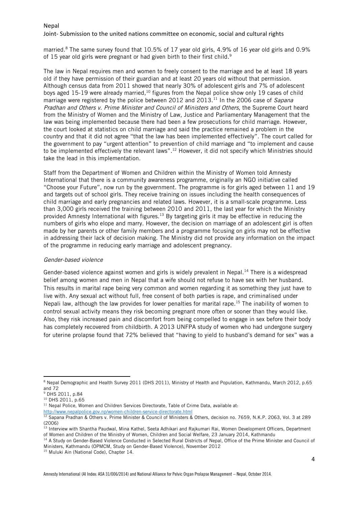#### Joint- Submission to the united nations committee on economic, social and cultural rights

married.8 The same survey found that 10.5% of 17 year old girls, 4.9% of 16 year old girls and 0.9% of 15 year old girls were pregnant or had given birth to their first child.<sup>9</sup>

The law in Nepal requires men and women to freely consent to the marriage and be at least 18 years old if they have permission of their guardian and at least 20 years old without that permission. Although census data from 2011 showed that nearly 30% of adolescent girls and 7% of adolescent boys aged 15-19 were already married,<sup>10</sup> figures from the Nepal police show only 19 cases of child marriage were registered by the police between 2012 and 2013.<sup>11</sup> In the 2006 case of Sapana Pradhan and Others v. Prime Minister and Council of Ministers and Others, the Supreme Court heard from the Ministry of Women and the Ministry of Law, Justice and Parliamentary Management that the law was being implemented because there had been a few prosecutions for child marriage. However, the court looked at statistics on child marriage and said the practice remained a problem in the country and that it did not agree "that the law has been implemented effectively". The court called for the government to pay "urgent attention" to prevention of child marriage and "to implement and cause to be implemented effectively the relevant laws".<sup>12</sup> However, it did not specify which Ministries should take the lead in this implementation.

Staff from the Department of Women and Children within the Ministry of Women told Amnesty International that there is a community awareness programme, originally an NGO initiative called "Choose your Future", now run by the government. The programme is for girls aged between 11 and 19 and targets out of school girls. They receive training on issues including the health consequences of child marriage and early pregnancies and related laws. However, it is a small-scale programme. Less than 3,000 girls received the training between 2010 and 2011, the last year for which the Ministry provided Amnesty International with figures.13 By targeting girls it may be effective in reducing the numbers of girls who elope and marry. However, the decision on marriage of an adolescent girl is often made by her parents or other family members and a programme focusing on girls may not be effective in addressing their lack of decision making. The Ministry did not provide any information on the impact of the programme in reducing early marriage and adolescent pregnancy.

#### Gender-based violence

Gender-based violence against women and girls is widely prevalent in Nepal.<sup>14</sup> There is a widespread belief among women and men in Nepal that a wife should not refuse to have sex with her husband. This results in marital rape being very common and women regarding it as something they just have to live with. Any sexual act without full, free consent of both parties is rape, and criminalised under Nepali law, although the law provides for lower penalties for marital rape.15 The inability of women to control sexual activity means they risk becoming pregnant more often or sooner than they would like. Also, they risk increased pain and discomfort from being compelled to engage in sex before their body has completely recovered from childbirth. A 2013 UNFPA study of women who had undergone surgery for uterine prolapse found that 72% believed that "having to yield to husband's demand for sex" was a

<sup>&</sup>lt;u> 1989 - Jan Samuel Barbara, margaret e</u> <sup>8</sup> Nepal Demographic and Health Survey 2011 (DHS 2011), Ministry of Health and Population, Kathmandu, March 2012, p.65 and 72

<sup>9</sup> DHS 2011, p.84

<sup>10</sup> DHS 2011, p.65

 $11$  Nepal Police, Women and Children Services Directorate, Table of Crime Data, available at:

http://www.nepalpolice.gov.np/women-children-service-directorate.html

<sup>&</sup>lt;sup>12</sup> Sapana Pradhan & Others v. Prime Minister & Council of Ministers & Others, decision no. 7659, N.K.P. 2063, Vol. 3 at 289 (2006)

<sup>&</sup>lt;sup>13</sup> Interview with Shantha Paudwal, Mina Kathel, Seeta Adhikari and Rajkumari Rai, Women Development Officers, Department of Women and Children of the Ministry of Women, Children and Social Welfare, 23 January 2014, Kathmandu

<sup>&</sup>lt;sup>14</sup> A Study on Gender-Based Violence Conducted in Selected Rural Districts of Nepal, Office of the Prime Minister and Council of Ministers, Kathmandu (OPMCM, Study on Gender-Based Violence), November 2012

<sup>&</sup>lt;sup>15</sup> Muluki Ain (National Code), Chapter 14.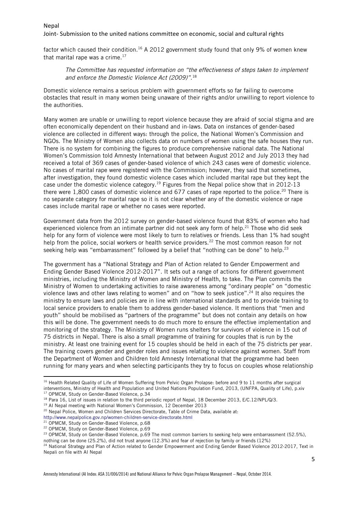#### Joint- Submission to the united nations committee on economic, social and cultural rights

factor which caused their condition.<sup>16</sup> A 2012 government study found that only 9% of women knew that marital rape was a crime. $17$ 

#### The Committee has requested information on "the effectiveness of steps taken to implement and enforce the Domestic Violence Act (2009)".<sup>18</sup>

Domestic violence remains a serious problem with government efforts so far failing to overcome obstacles that result in many women being unaware of their rights and/or unwilling to report violence to the authorities.

Many women are unable or unwilling to report violence because they are afraid of social stigma and are often economically dependent on their husband and in-laws. Data on instances of gender-based violence are collected in different ways: through the police, the National Women's Commission and NGOs. The Ministry of Women also collects data on numbers of women using the safe houses they run. There is no system for combining the figures to produce comprehensive national data. The National Women's Commission told Amnesty International that between August 2012 and July 2013 they had received a total of 369 cases of gender-based violence of which 243 cases were of domestic violence. No cases of marital rape were registered with the Commission; however, they said that sometimes, after investigation, they found domestic violence cases which included marital rape but they kept the case under the domestic violence category.<sup>19</sup> Figures from the Nepal police show that in 2012-13 there were 1,800 cases of domestic violence and 677 cases of rape reported to the police.<sup>20</sup> There is no separate category for marital rape so it is not clear whether any of the domestic violence or rape cases include marital rape or whether no cases were reported.

Government data from the 2012 survey on gender-based violence found that 83% of women who had experienced violence from an intimate partner did not seek any form of help.<sup>21</sup> Those who did seek help for any form of violence were most likely to turn to relatives or friends. Less than 1% had sought help from the police, social workers or health service providers.<sup>22</sup> The most common reason for not seeking help was "embarrassment" followed by a belief that "nothing can be done" to help.<sup>23</sup>

The government has a "National Strategy and Plan of Action related to Gender Empowerment and Ending Gender Based Violence 2012-2017". It sets out a range of actions for different government ministries, including the Ministry of Women and Ministry of Health, to take. The Plan commits the Ministry of Women to undertaking activities to raise awareness among "ordinary people" on "domestic violence laws and other laws relating to women" and on "how to seek justice".24 It also requires the ministry to ensure laws and policies are in line with international standards and to provide training to local service providers to enable them to address gender-based violence. It mentions that "men and youth" should be mobilised as "partners of the programme" but does not contain any details on how this will be done. The government needs to do much more to ensure the effective implementation and monitoring of the strategy. The Ministry of Women runs shelters for survivors of violence in 15 out of 75 districts in Nepal. There is also a small programme of training for couples that is run by the ministry. At least one training event for 15 couples should be held in each of the 75 districts per year. The training covers gender and gender roles and issues relating to violence against women. Staff from the Department of Women and Children told Amnesty International that the programme had been running for many years and when selecting participants they try to focus on couples whose relationship

<sup>19</sup> Al Nepal meeting with National Women's Commission, 12 December 2013

<sup>&</sup>lt;sup>16</sup> Health Related Quality of Life of Women Suffering from Pelvic Organ Prolapse: before and 9 to 11 months after surgical interventions, Ministry of Health and Population and United Nations Population Fund, 2013, (UNFPA, Quality of Life), p.xiv 17 OPMCM, Study on Gender-Based Violence, p.34

<sup>&</sup>lt;sup>18</sup> Para 16, List of issues in relation to the third periodic report of Nepal, 18 December 2013, E/C.12/NPL/Q/3.

<sup>&</sup>lt;sup>20</sup> Nepal Police, Women and Children Services Directorate, Table of Crime Data, available at: http://www.nepalpolice.gov.np/women-children-service-directorate.html

<sup>21</sup> OPMCM, Study on Gender-Based Violence, p.68

<sup>22</sup> OPMCM, Study on Gender-Based Violence, p.69

<sup>&</sup>lt;sup>23</sup> OPMCM, Study on Gender-Based Violence, p.69 The most common barriers to seeking help were embarrassment (52.5%),

nothing can be done (25.2%), did not trust anyone (12.3%) and fear of rejection by family or friends (12%)

<sup>&</sup>lt;sup>24</sup> National Strategy and Plan of Action related to Gender Empowerment and Ending Gender Based Violence 2012-2017, Text in Nepali on file with AI Nepal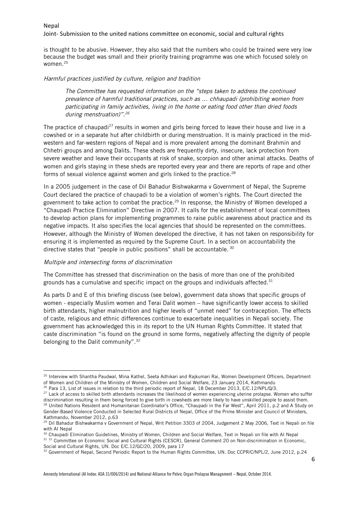is thought to be abusive. However, they also said that the numbers who could be trained were very low because the budget was small and their priority training programme was one which focused solely on women.25

#### Harmful practices justified by culture, religion and tradition

The Committee has requested information on the "steps taken to address the continued prevalence of harmful traditional practices, such as … chhaupadi (prohibiting women from participating in family activities, living in the home or eating food other than dried foods during menstruation)".<sup>26</sup>

The practice of chaupadi<sup>27</sup> results in women and girls being forced to leave their house and live in a cowshed or in a separate hut after childbirth or during menstruation. It is mainly practiced in the midwestern and far-western regions of Nepal and is more prevalent among the dominant Brahmin and Chhetri groups and among Dalits. These sheds are frequently dirty, insecure, lack protection from severe weather and leave their occupants at risk of snake, scorpion and other animal attacks. Deaths of women and girls staying in these sheds are reported every year and there are reports of rape and other forms of sexual violence against women and girls linked to the practice.<sup>28</sup>

In a 2005 judgement in the case of Dil Bahadur Bishwakarma v Government of Nepal, the Supreme Court declared the practice of chaupadi to be a violation of women's rights. The Court directed the government to take action to combat the practice.<sup>29</sup> In response, the Ministry of Women developed a "Chaupadi Practice Elimination" Directive in 2007. It calls for the establishment of local committees to develop action plans for implementing programmes to raise public awareness about practice and its negative impacts. It also specifies the local agencies that should be represented on the committees. However, although the Ministry of Women developed the directive, it has not taken on responsibility for ensuring it is implemented as required by the Supreme Court. In a section on accountability the directive states that "people in public positions" shall be accountable. <sup>30</sup>

#### Multiple and intersecting forms of discrimination

<u> 1989 - Jan Samuel Barbara, margaret e</u>

The Committee has stressed that discrimination on the basis of more than one of the prohibited grounds has a cumulative and specific impact on the groups and individuals affected. $31$ 

As parts D and E of this briefing discuss (see below), government data shows that specific groups of women - especially Muslim women and Terai Dalit women – have significantly lower access to skilled birth attendants, higher malnutrition and higher levels of "unmet need" for contraception. The effects of caste, religious and ethnic differences continue to exacerbate inequalities in Nepali society. The government has acknowledged this in its report to the UN Human Rights Committee. It stated that caste discrimination "is found on the ground in some forms, negatively affecting the dignity of people belonging to the Dalit community".<sup>32</sup>

<sup>&</sup>lt;sup>25</sup> Interview with Shantha Paudwal, Mina Kathel, Seeta Adhikari and Rajkumari Rai, Women Development Officers, Department of Women and Children of the Ministry of Women, Children and Social Welfare, 23 January 2014, Kathmandu

 $26$  Para 13, List of issues in relation to the third periodic report of Nepal, 18 December 2013, E/C.12/NPL/Q/3.

<sup>&</sup>lt;sup>27</sup> Lack of access to skilled birth attendants increases the likelihood of women experiencing uterine prolapse. Women who suffer discrimination resulting in them being forced to give birth in cowsheds are more likely to have unskilled people to assist them. <sup>28</sup> United Nations Resident and Humanitarian Coordinator's Office, "Chaupadi in the Far West", April 2011, p.2 and A Study on Gender-Based Violence Conducted in Selected Rural Districts of Nepal, Office of the Prime Minister and Council of Ministers, Kathmandu, November 2012, p.63

<sup>&</sup>lt;sup>29</sup> Dil Bahadur Bishwakarma v Government of Nepal, Writ Petition 3303 of 2004, Judgement 2 May 2006, Text in Nepali on file with AI Nepal

<sup>&</sup>lt;sup>30</sup> Chaupadi Elimination Guidelines, Ministry of Women, Children and Social Welfare, Text in Nepali on file with Al Nepal

<sup>31 31</sup> Committee on Economic Social and Cultural Rights (CESCR), General Comment 20 on Non-discrimination in Economic, Social and Cultural Rights, UN. Doc E/C.12/GC/20, 2009, para 17

<sup>&</sup>lt;sup>32</sup> Government of Nepal, Second Periodic Report to the Human Rights Committee, UN. Doc CCPR/C/NPL/2, June 2012, p.24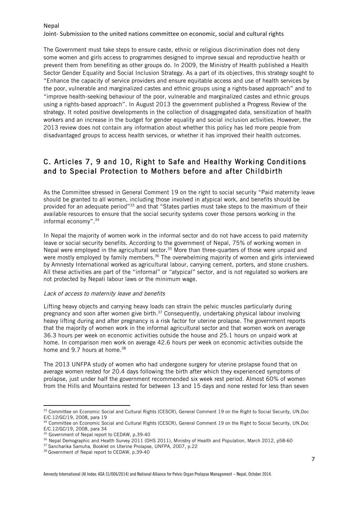The Government must take steps to ensure caste, ethnic or religious discrimination does not deny some women and girls access to programmes designed to improve sexual and reproductive health or prevent them from benefiting as other groups do. In 2009, the Ministry of Health published a Health Sector Gender Equality and Social Inclusion Strategy. As a part of its objectives, this strategy sought to "Enhance the capacity of service providers and ensure equitable access and use of health services by the poor, vulnerable and marginalized castes and ethnic groups using a rights-based approach" and to "improve health-seeking behaviour of the poor, vulnerable and marginalized castes and ethnic groups using a rights-based approach". In August 2013 the government published a Progress Review of the strategy. It noted positive developments in the collection of disaggregated data, sensitization of health workers and an increase in the budget for gender equality and social inclusion activities. However, the 2013 review does not contain any information about whether this policy has led more people from disadvantaged groups to access health services, or whether it has improved their health outcomes.

## C. Articles 7, 9 and 10, Right to Safe and Healthy Working Conditions and to Special Protection to Mothers before and after Childbirth

As the Committee stressed in General Comment 19 on the right to social security "Paid maternity leave should be granted to all women, including those involved in atypical work, and benefits should be provided for an adequate period"33 and that "States parties must take steps to the maximum of their available resources to ensure that the social security systems cover those persons working in the informal economy".34

In Nepal the majority of women work in the informal sector and do not have access to paid maternity leave or social security benefits. According to the government of Nepal, 75% of working women in Nepal were employed in the agricultural sector.<sup>35</sup> More than three-quarters of those were unpaid and were mostly employed by family members.<sup>36</sup> The overwhelming majority of women and girls interviewed by Amnesty International worked as agricultural labour, carrying cement, porters, and stone crushers. All these activities are part of the "informal" or "atypical" sector, and is not regulated so workers are not protected by Nepali labour laws or the minimum wage.

#### Lack of access to maternity leave and benefits

Lifting heavy objects and carrying heavy loads can strain the pelvic muscles particularly during pregnancy and soon after women give birth.<sup>37</sup> Consequently, undertaking physical labour involving heavy lifting during and after pregnancy is a risk factor for uterine prolapse. The government reports that the majority of women work in the informal agricultural sector and that women work on average 36.3 hours per week on economic activities outside the house and 25.1 hours on unpaid work at home. In comparison men work on average 42.6 hours per week on economic activities outside the home and 9.7 hours at home.<sup>38</sup>

The 2013 UNFPA study of women who had undergone surgery for uterine prolapse found that on average women rested for 20.4 days following the birth after which they experienced symptoms of prolapse, just under half the government recommended six week rest period. Almost 60% of women from the Hills and Mountains rested for between 13 and 15 days and none rested for less than seven

<sup>33</sup> Committee on Economic Social and Cultural Rights (CESCR), General Comment 19 on the Right to Social Security, UN.Doc E/C.12/GC/19, 2008, para 19

<sup>34</sup> Committee on Economic Social and Cultural Rights (CESCR), General Comment 19 on the Right to Social Security, UN.Doc E/C.12/GC/19, 2008, para 34

<sup>&</sup>lt;sup>35</sup> Government of Nepal report to CEDAW, p.39-40

<sup>36</sup> Nepal Demographic and Health Survey 2011 (DHS 2011), Ministry of Health and Population, March 2012, p58-60

<sup>37</sup> Sancharika Samuha, Booklet on Uterine Prolapse, UNFPA, 2007, p.22

<sup>38</sup> Government of Nepal report to CEDAW, p.39-40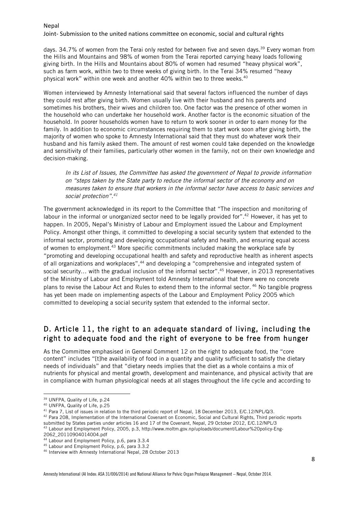#### Joint- Submission to the united nations committee on economic, social and cultural rights

days. 34.7% of women from the Terai only rested for between five and seven days.<sup>39</sup> Every woman from the Hills and Mountains and 98% of women from the Terai reported carrying heavy loads following giving birth. In the Hills and Mountains about 80% of women had resumed "heavy physical work", such as farm work, within two to three weeks of giving birth. In the Terai 34% resumed "heavy physical work" within one week and another 40% within two to three weeks.<sup>40</sup>

Women interviewed by Amnesty International said that several factors influenced the number of days they could rest after giving birth. Women usually live with their husband and his parents and sometimes his brothers, their wives and children too. One factor was the presence of other women in the household who can undertake her household work. Another factor is the economic situation of the household. In poorer households women have to return to work sooner in order to earn money for the family. In addition to economic circumstances requiring them to start work soon after giving birth, the majority of women who spoke to Amnesty International said that they must do whatever work their husband and his family asked them. The amount of rest women could take depended on the knowledge and sensitivity of their families, particularly other women in the family, not on their own knowledge and decision-making.

In its List of Issues, the Committee has asked the government of Nepal to provide information on "steps taken by the State party to reduce the informal sector of the economy and on measures taken to ensure that workers in the informal sector have access to basic services and social protection".<sup>41</sup>

The government acknowledged in its report to the Committee that "The inspection and monitoring of labour in the informal or unorganized sector need to be legally provided for".<sup>42</sup> However, it has yet to happen. In 2005, Nepal's Ministry of Labour and Employment issued the Labour and Employment Policy. Amongst other things, it committed to developing a social security system that extended to the informal sector, promoting and developing occupational safety and health, and ensuring equal access of women to employment.43 More specific commitments included making the workplace safe by "promoting and developing occupational health and safety and reproductive health as inherent aspects of all organizations and workplaces",<sup>44</sup> and developing a "comprehensive and integrated system of social security... with the gradual inclusion of the informal sector".<sup>45</sup> However, in 2013 representatives of the Ministry of Labour and Employment told Amnesty International that there were no concrete plans to revise the Labour Act and Rules to extend them to the informal sector. <sup>46</sup> No tangible progress has yet been made on implementing aspects of the Labour and Employment Policy 2005 which committed to developing a social security system that extended to the informal sector.

### D. Article 11, the right to an adequate standard of living, including the right to adequate food and the right of everyone to be free from hunger

As the Committee emphasised in General Comment 12 on the right to adequate food, the "core content" includes "[t]he availability of food in a quantity and quality sufficient to satisfy the dietary needs of individuals" and that "dietary needs implies that the diet as a whole contains a mix of nutrients for physical and mental growth, development and maintenance, and physical activity that are in compliance with human physiological needs at all stages throughout the life cycle and according to

<u> 1989 - Jan Samuel Barbara, margaret e</u>

42 Para 208, Implementation of the International Covenant on Economic, Social and Cultural Rights, Third periodic reports submitted by States parties under articles 16 and 17 of the Covenant, Nepal, 29 October 2012, E/C.12/NPL/3

2062\_20110904014004.pdf

<sup>39</sup> UNFPA, Quality of Life, p.24

<sup>40</sup> UNFPA, Quality of Life, p.25

<sup>&</sup>lt;sup>41</sup> Para 7, List of issues in relation to the third periodic report of Nepal, 18 December 2013, E/C.12/NPL/Q/3.

<sup>43</sup> Labour and Employment Policy, 2005, p.3, http://www.moltm.gov.np/uploads/document/Labour%20policy-Eng-

<sup>44</sup> Labour and Employment Policy, p.6, para 3.3.4

<sup>45</sup> Labour and Employment Policy, p.6, para 3.3.2

<sup>46</sup> Interview with Amnesty International Nepal, 28 October 2013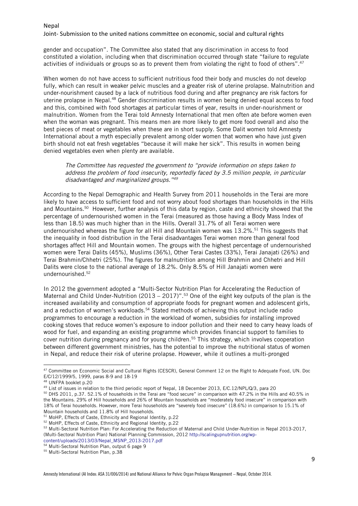gender and occupation". The Committee also stated that any discrimination in access to food constituted a violation, including when that discrimination occurred through state "failure to regulate activities of individuals or groups so as to prevent them from violating the right to food of others".47

When women do not have access to sufficient nutritious food their body and muscles do not develop fully, which can result in weaker pelvic muscles and a greater risk of uterine prolapse. Malnutrition and under-nourishment caused by a lack of nutritious food during and after pregnancy are risk factors for uterine prolapse in Nepal.48 Gender discrimination results in women being denied equal access to food and this, combined with food shortages at particular times of year, results in under-nourishment or malnutrition. Women from the Terai told Amnesty International that men often ate before women even when the woman was pregnant. This means men are more likely to get more food overall and also the best pieces of meat or vegetables when these are in short supply. Some Dalit women told Amnesty International about a myth especially prevalent among older women that women who have just given birth should not eat fresh vegetables "because it will make her sick". This results in women being denied vegetables even when plenty are available.

The Committee has requested the government to "provide information on steps taken to address the problem of food insecurity, reportedly faced by 3.5 million people, in particular disadvantaged and marginalized groups."<sup>49</sup>

According to the Nepal Demographic and Health Survey from 2011 households in the Terai are more likely to have access to sufficient food and not worry about food shortages than households in the Hills and Mountains.50 However, further analysis of this data by region, caste and ethnicity showed that the percentage of undernourished women in the Terai (measured as those having a Body Mass Index of less than 18.5) was much higher than in the Hills. Overall 31.7% of all Terai women were undernourished whereas the figure for all Hill and Mountain women was  $13.2\%$ .<sup>51</sup> This suggests that the inequality in food distribution in the Terai disadvantages Terai women more than general food shortages affect Hill and Mountain women. The groups with the highest percentage of undernourished women were Terai Dalits (45%), Muslims (36%), Other Terai Castes (33%), Terai Janajati (26%) and Terai Brahmin/Chhetri (25%). The figures for malnutrition among Hill Brahmin and Chhetri and Hill Dalits were close to the national average of 18.2%. Only 8.5% of Hill Janajati women were undernourished.52

In 2012 the government adopted a "Multi-Sector Nutrition Plan for Accelerating the Reduction of Maternal and Child Under-Nutrition (2013 – 2017)".<sup>53</sup> One of the eight key outputs of the plan is the increased availability and consumption of appropriate foods for pregnant women and adolescent girls, and a reduction of women's workloads.<sup>54</sup> Stated methods of achieving this output include radio programmes to encourage a reduction in the workload of women, subsidies for installing improved cooking stoves that reduce women's exposure to indoor pollution and their need to carry heavy loads of wood for fuel, and expanding an existing programme which provides financial support to families to cover nutrition during pregnancy and for young children.55 This strategy, which involves cooperation between different government ministries, has the potential to improve the nutritional status of women in Nepal, and reduce their risk of uterine prolapse. However, while it outlines a multi-pronged

 

<sup>47</sup> Committee on Economic Social and Cultural Rights (CESCR), General Comment 12 on the Right to Adequate Food, UN. Doc E/C/12/1999/5, 1999, paras 8-9 and 18-19

<sup>48</sup> UNFPA booklet p.20

<sup>&</sup>lt;sup>49</sup> List of issues in relation to the third periodic report of Nepal, 18 December 2013, E/C.12/NPL/Q/3, para 20

<sup>50</sup> DHS 2011, p.37. 52.1% of households in the Terai are "food secure" in comparison with 47.2% in the Hills and 40.5% in the Mountains. 29% of Hill households and 26% of Mountain households are "moderately food insecure" in comparison with 18% of Terai households. However, more Terai households are "severely food insecure" (18.6%) in comparison to 15.1% of Mountain households and 11.8% of Hill households.

<sup>51</sup> MoHP, Effects of Caste, Ethnicity and Regional Identity, p.22

<sup>52</sup> MoHP, Effects of Caste, Ethnicity and Regional Identity, p.22

<sup>53</sup> Multi-Sectoral Nutrition Plan: For Accelerating the Reduction of Maternal and Child Under-Nutrition in Nepal 2013-2017, (Multi-Sectoral Nutrition Plan) National Planning Commission, 2012 http://scalingupnutrition.org/wpcontent/uploads/2013/03/Nepal\_MSNP\_2013-2017.pdf

<sup>54</sup> Multi-Sectoral Nutrition Plan, output 6 page 9

<sup>55</sup> Multi-Sectoral Nutrition Plan, p.38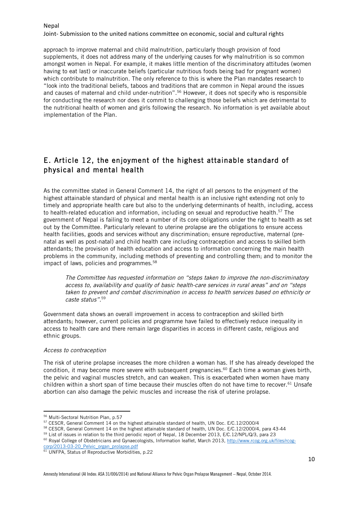Joint- Submission to the united nations committee on economic, social and cultural rights

approach to improve maternal and child malnutrition, particularly though provision of food supplements, it does not address many of the underlying causes for why malnutrition is so common amongst women in Nepal. For example, it makes little mention of the discriminatory attitudes (women having to eat last) or inaccurate beliefs (particular nutritious foods being bad for pregnant women) which contribute to malnutrition. The only reference to this is where the Plan mandates research to "look into the traditional beliefs, taboos and traditions that are common in Nepal around the issues and causes of maternal and child under-nutrition".56 However, it does not specify who is responsible for conducting the research nor does it commit to challenging those beliefs which are detrimental to the nutritional health of women and girls following the research. No information is yet available about implementation of the Plan.

# E. Article 12, the enjoyment of the highest attainable standard of physical and mental health

As the committee stated in General Comment 14, the right of all persons to the enjoyment of the highest attainable standard of physical and mental health is an inclusive right extending not only to timely and appropriate health care but also to the underlying determinants of health, including, access to health-related education and information, including on sexual and reproductive health.<sup>57</sup> The government of Nepal is failing to meet a number of its core obligations under the right to health as set out by the Committee. Particularly relevant to uterine prolapse are the obligations to ensure access health facilities, goods and services without any discrimination; ensure reproductive, maternal (prenatal as well as post-natal) and child health care including contraception and access to skilled birth attendants; the provision of health education and access to information concerning the main health problems in the community, including methods of preventing and controlling them; and to monitor the impact of laws, policies and programmes.<sup>58</sup>

The Committee has requested information on "steps taken to improve the non-discriminatory access to, availability and quality of basic health-care services in rural areas" and on "steps taken to prevent and combat discrimination in access to health services based on ethnicity or caste status".59

Government data shows an overall improvement in access to contraception and skilled birth attendants; however, current policies and programme have failed to effectively reduce inequality in access to health care and there remain large disparities in access in different caste, religious and ethnic groups.

#### Access to contraception

The risk of uterine prolapse increases the more children a woman has. If she has already developed the condition, it may become more severe with subsequent pregnancies.<sup>60</sup> Each time a woman gives birth, the pelvic and vaginal muscles stretch, and can weaken. This is exacerbated when women have many children within a short span of time because their muscles often do not have time to recover.<sup>61</sup> Unsafe abortion can also damage the pelvic muscles and increase the risk of uterine prolapse.

<sup>&</sup>lt;u> 1989 - Johann Barn, mars ann an t-Amhain an t-Amhain an t-Amhain an t-Amhain an t-Amhain an t-Amhain an t-Amh</u> <sup>56</sup> Multi-Sectoral Nutrition Plan, p.57

<sup>57</sup> CESCR, General Comment 14 on the highest attainable standard of health, UN Doc. E/C.12/2000/4

<sup>58</sup> CESCR, General Comment 14 on the highest attainable standard of health, UN Doc. E/C.12/2000/4, para 43-44

<sup>59</sup> List of issues in relation to the third periodic report of Nepal, 18 December 2013, E/C.12/NPL/Q/3, para 23

<sup>60</sup> Royal College of Obstetricians and Gynaecologists, Information leaflet, March 2013, http://www.rcog.org.uk/files/rcogorp/2013-03-20\_Pelvic\_organ\_prolapse.pdf

<sup>61</sup> UNFPA, Status of Reproductive Morbidities, p.22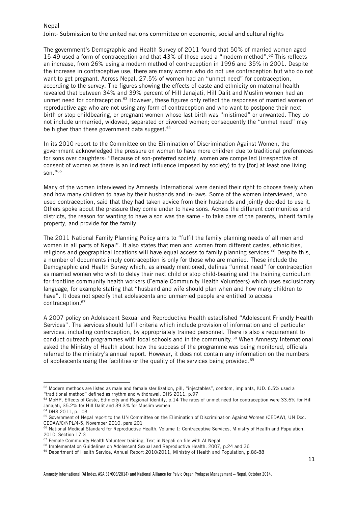#### Joint- Submission to the united nations committee on economic, social and cultural rights

The government's Demographic and Health Survey of 2011 found that 50% of married women aged 15-49 used a form of contraception and that 43% of those used a "modern method".<sup>62</sup> This reflects an increase, from 26% using a modern method of contraception in 1996 and 35% in 2001. Despite the increase in contraceptive use, there are many women who do not use contraception but who do not want to get pregnant. Across Nepal, 27.5% of women had an "unmet need" for contraception, according to the survey. The figures showing the effects of caste and ethnicity on maternal health revealed that between 34% and 39% percent of Hill Janajati, Hill Dalit and Muslim women had an unmet need for contraception.<sup>63</sup> However, these figures only reflect the responses of married women of reproductive age who are not using any form of contraception and who want to postpone their next birth or stop childbearing, or pregnant women whose last birth was "mistimed" or unwanted. They do not include unmarried, widowed, separated or divorced women; consequently the "unmet need" may be higher than these government data suggest.<sup>64</sup>

In its 2010 report to the Committee on the Elimination of Discrimination Against Women, the government acknowledged the pressure on women to have more children due to traditional preferences for sons over daughters: "Because of son-preferred society, women are compelled (irrespective of consent of women as there is an indirect influence imposed by society) to try [for] at least one living son."65

Many of the women interviewed by Amnesty International were denied their right to choose freely when and how many children to have by their husbands and in-laws. Some of the women interviewed, who used contraception, said that they had taken advice from their husbands and jointly decided to use it. Others spoke about the pressure they come under to have sons. Across the different communities and districts, the reason for wanting to have a son was the same - to take care of the parents, inherit family property, and provide for the family.

The 2011 National Family Planning Policy aims to "fulfil the family planning needs of all men and women in all parts of Nepal". It also states that men and women from different castes, ethnicities, religions and geographical locations will have equal access to family planning services.<sup>66</sup> Despite this, a number of documents imply contraception is only for those who are married. These include the Demographic and Health Survey which, as already mentioned, defines "unmet need" for contraception as married women who wish to delay their next child or stop child-bearing and the training curriculum for frontline community health workers (Female Community Health Volunteers) which uses exclusionary language, for example stating that "husband and wife should plan when and how many children to have". It does not specify that adolescents and unmarried people are entitled to access contraception.67

A 2007 policy on Adolescent Sexual and Reproductive Health established "Adolescent Friendly Health Services". The services should fulfil criteria which include provision of information and of particular services, including contraception, by appropriately trained personnel. There is also a requirement to conduct outreach programmes with local schools and in the community.<sup>68</sup> When Amnesty International asked the Ministry of Health about how the success of the programme was being monitored, officials referred to the ministry's annual report. However, it does not contain any information on the numbers of adolescents using the facilities or the quality of the services being provided.69

 $62$  Modern methods are listed as male and female sterilization, pill, "injectables", condom, implants, IUD.  $6.5\%$  used a "traditional method" defined as rhythm and withdrawal. DHS 2011, p.97

<sup>63</sup> MoHP, Effects of Caste, Ethnicity and Regional Identity, p.14 The rates of unmet need for contraception were 33.6% for Hill Janajati, 35.2% for Hill Dalit and 39.3% for Muslim women

<sup>64</sup> DHS 2011, p.103

<sup>&</sup>lt;sup>65</sup> Government of Nepal report to the UN Committee on the Elimination of Discrimination Against Women (CEDAW), UN Doc. CEDAW/C/NPL/4-5, November 2010, para 201

<sup>&</sup>lt;sup>66</sup> National Medical Standard for Reproductive Health, Volume 1: Contraceptive Services, Ministry of Health and Population, 2010, Section 17.3

<sup>67</sup> Female Community Health Volunteer training, Text in Nepali on file with AI Nepal

<sup>68</sup> Implementation Guidelines on Adolescent Sexual and Reproductive Health, 2007, p.24 and 36

 $69$  Department of Health Service, Annual Report 2010/2011, Ministry of Health and Population, p.86-88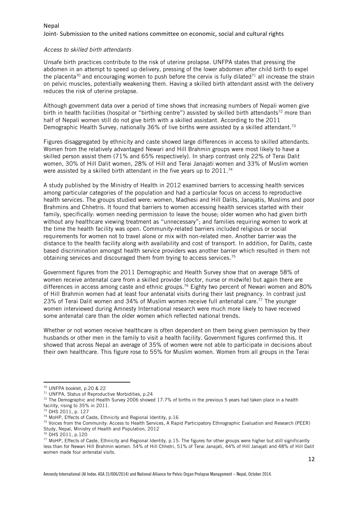#### Access to skilled birth attendants

Unsafe birth practices contribute to the risk of uterine prolapse. UNFPA states that pressing the abdomen in an attempt to speed up delivery, pressing of the lower abdomen after child birth to expel the placenta<sup>70</sup> and encouraging women to push before the cervix is fully dilated<sup>71</sup> all increase the strain on pelvic muscles, potentially weakening them. Having a skilled birth attendant assist with the delivery reduces the risk of uterine prolapse.

Although government data over a period of time shows that increasing numbers of Nepali women give birth in health facilities (hospital or "birthing centre") assisted by skilled birth attendants<sup>72</sup> more than half of Nepali women still do not give birth with a skilled assistant. According to the 2011 Demographic Health Survey, nationally 36% of live births were assisted by a skilled attendant.<sup>73</sup>

Figures disaggregated by ethnicity and caste showed large differences in access to skilled attendants. Women from the relatively advantaged Newari and Hill Brahmin groups were most likely to have a skilled person assist them (71% and 65% respectively). In sharp contrast only 22% of Terai Dalit women, 30% of Hill Dalit women, 28% of Hill and Terai Janajati women and 33% of Muslim women were assisted by a skilled birth attendant in the five years up to 2011.<sup>74</sup>

A study published by the Ministry of Health in 2012 examined barriers to accessing health services among particular categories of the population and had a particular focus on access to reproductive health services. The groups studied were: women, Madhesi and Hill Dalits, Janajatis, Muslims and poor Brahmins and Chhetris. It found that barriers to women accessing health services started with their family, specifically: women needing permission to leave the house; older women who had given birth without any healthcare viewing treatment as "unnecessary"; and families requiring women to work at the time the health facility was open. Community-related barriers included religious or social requirements for women not to travel alone or mix with non-related men. Another barrier was the distance to the health facility along with availability and cost of transport. In addition, for Dalits, caste based discrimination amongst health service providers was another barrier which resulted in them not obtaining services and discouraged them from trying to access services.<sup>75</sup>

Government figures from the 2011 Demographic and Health Survey show that on average 58% of women receive antenatal care from a skilled provider (doctor, nurse or midwife) but again there are differences in access among caste and ethnic groups.<sup>76</sup> Eighty two percent of Newari women and 80% of Hill Brahmin women had at least four antenatal visits during their last pregnancy. In contrast just 23% of Terai Dalit women and 34% of Muslim women receive full antenatal care.<sup>77</sup> The younger women interviewed during Amnesty International research were much more likely to have received some antenatal care than the older women which reflected national trends.

Whether or not women receive healthcare is often dependent on them being given permission by their husbands or other men in the family to visit a health facility. Government figures confirmed this. It showed that across Nepal an average of 35% of women were not able to participate in decisions about their own healthcare. This figure rose to 55% for Muslim women. Women from all groups in the Terai

<sup>70</sup> UNFPA booklet, p.20 & 22

<sup>71</sup> UNFPA, Status of Reproductive Morbidities, p.24

 $72$  The Demographic and Health Survey 2006 showed 17.7% of births in the previous 5 years had taken place in a health facility, rising to 35% in 2011.

<sup>73</sup> DHS 2011, p. 127

<sup>74</sup> MoHP, Effects of Caste, Ethnicity and Regional Identity, p.16

<sup>75</sup> Voices from the Community: Access to Health Services, A Rapid Participatory Ethnographic Evaluation and Research (PEER) Study, Nepal, Ministry of Health and Population, 2012

<sup>76</sup> DHS 2011, p.120

<sup>77</sup> MoHP, Effects of Caste, Ethnicity and Regional Identity, p.15. The figures for other groups were higher but still significantly less than for Newari Hill Brahmin women. 54% of Hill Chhetri, 51% of Terai Janajati, 44% of Hill Janajati and 48% of Hill Dalit women made four antenatal visits.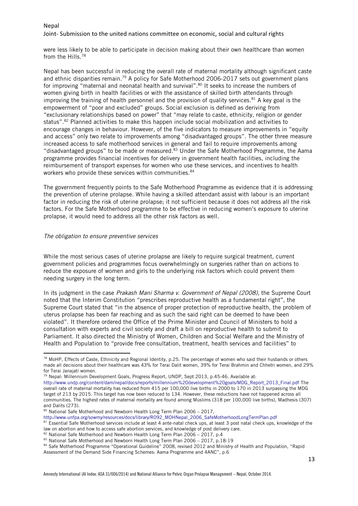Joint- Submission to the united nations committee on economic, social and cultural rights

were less likely to be able to participate in decision making about their own healthcare than women from the Hills.78

Nepal has been successful in reducing the overall rate of maternal mortality although significant caste and ethnic disparities remain.<sup>79</sup> A policy for Safe Motherhood 2006-2017 sets out government plans for improving "maternal and neonatal health and survival".<sup>80</sup> It seeks to increase the numbers of women giving birth in health facilities or with the assistance of skilled birth attendants through improving the training of health personnel and the provision of quality services.<sup>81</sup> A key goal is the empowerment of "poor and excluded" groups. Social exclusion is defined as deriving from "exclusionary relationships based on power" that "may relate to caste, ethnicity, religion or gender status".<sup>82</sup> Planned activities to make this happen include social mobilization and activities to encourage changes in behaviour. However, of the five indicators to measure improvements in "equity and access" only two relate to improvements among "disadvantaged groups". The other three measure increased access to safe motherhood services in general and fail to require improvements among "disadvantaged groups" to be made or measured.<sup>83</sup> Under the Safe Motherhood Programme, the Aama programme provides financial incentives for delivery in government health facilities, including the reimbursement of transport expenses for women who use these services, and incentives to health workers who provide these services within communities.<sup>84</sup>

The government frequently points to the Safe Motherhood Programme as evidence that it is addressing the prevention of uterine prolapse. While having a skilled attendant assist with labour is an important factor in reducing the risk of uterine prolapse; it not sufficient because it does not address all the risk factors. For the Safe Motherhood programme to be effective in reducing women's exposure to uterine prolapse, it would need to address all the other risk factors as well.

#### The obligation to ensure preventive services

<u> 1989 - Jan Samuel Barbara, margaret e</u>

While the most serious cases of uterine prolapse are likely to require surgical treatment, current government policies and programmes focus overwhelmingly on surgeries rather than on actions to reduce the exposure of women and girls to the underlying risk factors which could prevent them needing surgery in the long term.

In its judgment in the case Prakash Mani Sharma v. Government of Nepal (2008), the Supreme Court noted that the Interim Constitution "prescribes reproductive health as a fundamental right", the Supreme Court stated that "in the absence of proper protection of reproductive health, the problem of uterus prolapse has been far reaching and as such the said right can be deemed to have been violated". It therefore ordered the Office of the Prime Minister and Council of Ministers to hold a consultation with experts and civil society and draft a bill on reproductive health to submit to Parliament. It also directed the Ministry of Women, Children and Social Welfare and the Ministry of Health and Population to "provide free consultation, treatment, health services and facilities" to

<sup>79</sup> Nepal: Millennium Development Goals, Progress Report, UNDP, Sept 2013, p.45-46. Available at:

http://www.unfpa.org/sowmy/resources/docs/library/R092\_MOHNepal\_2006\_SafeMotherhoodLongTermPlan.pdf

82 National Safe Motherhood and Newborn Health Long Term Plan 2006 - 2017, p.4

<sup>&</sup>lt;sup>78</sup> MoHP, Effects of Caste, Ethnicity and Regional Identity, p.25. The percentage of women who said their husbands or others made all decisions about their healthcare was 43% for Terai Dalit women, 39% for Terai Brahmin and Chhetri women, and 29% for Terai Janajati women.

http://www.undp.org/content/dam/nepal/docs/reports/millennium%20development%20goals/MDG\_Report\_2013\_Final.pdf The overall rate of maternal mortality has reduced from 415 per 100,000 live births in 2000 to 170 in 2013 surpassing the MDG target of 213 by 2015. This target has now been reduced to 134. However, these reductions have not happened across all communities. The highest rates of maternal mortality are found among Muslims (318 per 100,000 live births), Madhesis (307) and Dalits (273).

<sup>&</sup>lt;sup>80</sup> National Safe Motherhood and Newborn Health Long Term Plan 2006 - 2017,

<sup>81</sup> Essential Safe Motherhood services include at least 4 ante-natal check ups, at least 3 post natal check ups, knowledge of the law on abortion and how to access safe abortion services, and knowledge of post delivery care.

<sup>83</sup> National Safe Motherhood and Newborn Health Long Term Plan 2006 - 2017, p.18-19

<sup>84</sup> Safe Motherhood Programme "Operational Guideline" 2008, revised 2012 and Ministry of Health and Population, "Rapid Assessment of the Demand Side Financing Schemes: Aama Programme and 4ANC", p.6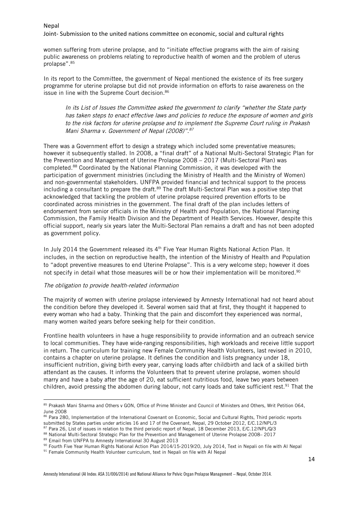Joint- Submission to the united nations committee on economic, social and cultural rights

women suffering from uterine prolapse, and to "initiate effective programs with the aim of raising public awareness on problems relating to reproductive health of women and the problem of uterus prolapse".85

In its report to the Committee, the government of Nepal mentioned the existence of its free surgery programme for uterine prolapse but did not provide information on efforts to raise awareness on the issue in line with the Supreme Court decision.<sup>86</sup>

In its List of Issues the Committee asked the government to clarify "whether the State party has taken steps to enact effective laws and policies to reduce the exposure of women and girls to the risk factors for uterine prolapse and to implement the Supreme Court ruling in Prakash Mani Sharma v. Government of Nepal (2008)".<sup>87</sup>

There was a Government effort to design a strategy which included some preventative measures; however it subsequently stalled. In 2008, a "final draft" of a National Multi-Sectoral Strategic Plan for the Prevention and Management of Uterine Prolapse 2008 – 2017 (Multi-Sectoral Plan) was completed.88 Coordinated by the National Planning Commission, it was developed with the participation of government ministries (including the Ministry of Health and the Ministry of Women) and non-governmental stakeholders. UNFPA provided financial and technical support to the process including a consultant to prepare the draft.<sup>89</sup> The draft Multi-Sectoral Plan was a positive step that acknowledged that tackling the problem of uterine prolapse required prevention efforts to be coordinated across ministries in the government. The final draft of the plan includes letters of endorsement from senior officials in the Ministry of Health and Population, the National Planning Commission, the Family Health Division and the Department of Health Services. However, despite this official support, nearly six years later the Multi-Sectoral Plan remains a draft and has not been adopted as government policy.

In July 2014 the Government released its  $4<sup>th</sup>$  Five Year Human Rights National Action Plan. It includes, in the section on reproductive health, the intention of the Ministry of Health and Population to "adopt preventive measures to end Uterine Prolapse". This is a very welcome step; however it does not specify in detail what those measures will be or how their implementation will be monitored.<sup>90</sup>

#### The obligation to provide health-related information

The majority of women with uterine prolapse interviewed by Amnesty International had not heard about the condition before they developed it. Several women said that at first, they thought it happened to every woman who had a baby. Thinking that the pain and discomfort they experienced was normal, many women waited years before seeking help for their condition.

Frontline health volunteers in have a huge responsibility to provide information and an outreach service to local communities. They have wide-ranging responsibilities, high workloads and receive little support in return. The curriculum for training new Female Community Health Volunteers, last revised in 2010, contains a chapter on uterine prolapse. It defines the condition and lists pregnancy under 18, insufficient nutrition, giving birth every year, carrying loads after childbirth and lack of a skilled birth attendant as the causes. It informs the Volunteers that to prevent uterine prolapse, women should marry and have a baby after the age of 20, eat sufficient nutritious food, leave two years between children, avoid pressing the abdomen during labour, not carry loads and take sufficient rest.<sup>91</sup> That the

<sup>&</sup>lt;u> 1989 - Jan Samuel Barbara, margaret e</u> 85 Prakash Mani Sharma and Others v GON, Office of Prime Minister and Council of Ministers and Others, Writ Petition 064, June 2008

<sup>86</sup> Para 280, Implementation of the International Covenant on Economic, Social and Cultural Rights, Third periodic reports submitted by States parties under articles 16 and 17 of the Covenant, Nepal, 29 October 2012, E/C.12/NPL/3

<sup>&</sup>lt;sup>87</sup> Para 26, List of issues in relation to the third periodic report of Nepal, 18 December 2013, E/C.12/NPL/Q/3

<sup>88</sup> National Multi-Sectoral Strategic Plan for the Prevention and Management of Uterine Prolapse 2008– 2017<br>89 Email from UNFPA to Amnesty International 30 August 2013

<sup>90</sup> Fourth Five Year Human Rights National Action Plan 2014/15-2019/20, July 2014, Text in Nepali on file with AI Nepal

<sup>&</sup>lt;sup>91</sup> Female Community Health Volunteer curriculum, text in Nepali on file with AI Nepal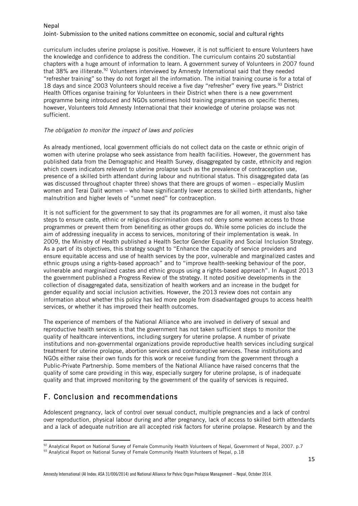#### Joint- Submission to the united nations committee on economic, social and cultural rights

curriculum includes uterine prolapse is positive. However, it is not sufficient to ensure Volunteers have the knowledge and confidence to address the condition. The curriculum contains 20 substantial chapters with a huge amount of information to learn. A government survey of Volunteers in 2007 found that 38% are illiterate.92 Volunteers interviewed by Amnesty International said that they needed "refresher training" so they do not forget all the information. The initial training course is for a total of 18 days and since 2003 Volunteers should receive a five day "refresher" every five years.<sup>93</sup> District Health Offices organise training for Volunteers in their District when there is a new government programme being introduced and NGOs sometimes hold training programmes on specific themes; however, Volunteers told Amnesty International that their knowledge of uterine prolapse was not sufficient.

#### The obligation to monitor the impact of laws and policies

As already mentioned, local government officials do not collect data on the caste or ethnic origin of women with uterine prolapse who seek assistance from health facilities. However, the government has published data from the Demographic and Health Survey, disaggregated by caste, ethnicity and region which covers indicators relevant to uterine prolapse such as the prevalence of contraception use, presence of a skilled birth attendant during labour and nutritional status. This disaggregated data (as was discussed throughout chapter three) shows that there are groups of women – especially Muslim women and Terai Dalit women – who have significantly lower access to skilled birth attendants, higher malnutrition and higher levels of "unmet need" for contraception.

It is not sufficient for the government to say that its programmes are for all women, it must also take steps to ensure caste, ethnic or religious discrimination does not deny some women access to those programmes or prevent them from benefiting as other groups do. While some policies do include the aim of addressing inequality in access to services, monitoring of their implementation is weak. In 2009, the Ministry of Health published a Health Sector Gender Equality and Social Inclusion Strategy. As a part of its objectives, this strategy sought to "Enhance the capacity of service providers and ensure equitable access and use of health services by the poor, vulnerable and marginalized castes and ethnic groups using a rights-based approach" and to "improve health-seeking behaviour of the poor, vulnerable and marginalized castes and ethnic groups using a rights-based approach". In August 2013 the government published a Progress Review of the strategy. It noted positive developments in the collection of disaggregated data, sensitization of health workers and an increase in the budget for gender equality and social inclusion activities. However, the 2013 review does not contain any information about whether this policy has led more people from disadvantaged groups to access health services, or whether it has improved their health outcomes.

The experience of members of the National Alliance who are involved in delivery of sexual and reproductive health services is that the government has not taken sufficient steps to monitor the quality of healthcare interventions, including surgery for uterine prolapse. A number of private institutions and non-governmental organizations provide reproductive health services including surgical treatment for uterine prolapse, abortion services and contraceptive services. These institutions and NGOs either raise their own funds for this work or receive funding from the government through a Public-Private Partnership. Some members of the National Alliance have raised concerns that the quality of some care providing in this way, especially surgery for uterine prolapse, is of inadequate quality and that improved monitoring by the government of the quality of services is required.

# F. Conclusion and recommendations

<u> 1989 - Jan Samuel Barbara, margaret e</u>

Adolescent pregnancy, lack of control over sexual conduct, multiple pregnancies and a lack of control over reproduction, physical labour during and after pregnancy, lack of access to skilled birth attendants and a lack of adequate nutrition are all accepted risk factors for uterine prolapse. Research by and the

<sup>92</sup> Analytical Report on National Survey of Female Community Health Volunteers of Nepal, Government of Nepal, 2007. p.7

<sup>93</sup> Analytical Report on National Survey of Female Community Health Volunteers of Nepal, p.18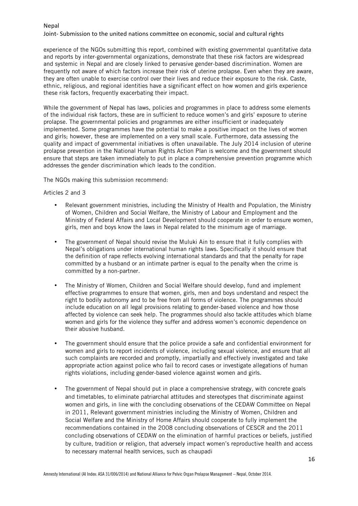#### Joint- Submission to the united nations committee on economic, social and cultural rights

experience of the NGOs submitting this report, combined with existing governmental quantitative data and reports by inter-governmental organizations, demonstrate that these risk factors are widespread and systemic in Nepal and are closely linked to pervasive gender-based discrimination. Women are frequently not aware of which factors increase their risk of uterine prolapse. Even when they are aware, they are often unable to exercise control over their lives and reduce their exposure to the risk. Caste, ethnic, religious, and regional identities have a significant effect on how women and girls experience these risk factors, frequently exacerbating their impact.

While the government of Nepal has laws, policies and programmes in place to address some elements of the individual risk factors, these are in sufficient to reduce women's and girls' exposure to uterine prolapse. The governmental policies and programmes are either insufficient or inadequately implemented. Some programmes have the potential to make a positive impact on the lives of women and girls; however, these are implemented on a very small scale. Furthermore, data assessing the quality and impact of governmental initiatives is often unavailable. The July 2014 inclusion of uterine prolapse prevention in the National Human Rights Action Plan is welcome and the government should ensure that steps are taken immediately to put in place a comprehensive prevention programme which addresses the gender discrimination which leads to the condition.

The NGOs making this submission recommend:

#### Articles 2 and 3

- Relevant government ministries, including the Ministry of Health and Population, the Ministry of Women, Children and Social Welfare, the Ministry of Labour and Employment and the Ministry of Federal Affairs and Local Development should cooperate in order to ensure women, girls, men and boys know the laws in Nepal related to the minimum age of marriage.
- The government of Nepal should revise the Muluki Ain to ensure that it fully complies with Nepal's obligations under international human rights laws. Specifically it should ensure that the definition of rape reflects evolving international standards and that the penalty for rape committed by a husband or an intimate partner is equal to the penalty when the crime is committed by a non-partner.
- The Ministry of Women, Children and Social Welfare should develop, fund and implement effective programmes to ensure that women, girls, men and boys understand and respect the right to bodily autonomy and to be free from all forms of violence. The programmes should include education on all legal provisions relating to gender-based violence and how those affected by violence can seek help. The programmes should also tackle attitudes which blame women and girls for the violence they suffer and address women's economic dependence on their abusive husband.
- The government should ensure that the police provide a safe and confidential environment for women and girls to report incidents of violence, including sexual violence, and ensure that all such complaints are recorded and promptly, impartially and effectively investigated and take appropriate action against police who fail to record cases or investigate allegations of human rights violations, including gender-based violence against women and girls.
- The government of Nepal should put in place a comprehensive strategy, with concrete goals and timetables, to eliminate patriarchal attitudes and stereotypes that discriminate against women and girls, in line with the concluding observations of the CEDAW Committee on Nepal in 2011, Relevant government ministries including the Ministry of Women, Children and Social Welfare and the Ministry of Home Affairs should cooperate to fully implement the recommendations contained in the 2008 concluding observations of CESCR and the 2011 concluding observations of CEDAW on the elimination of harmful practices or beliefs, justified by culture, tradition or religion, that adversely impact women's reproductive health and access to necessary maternal health services, such as chaupadi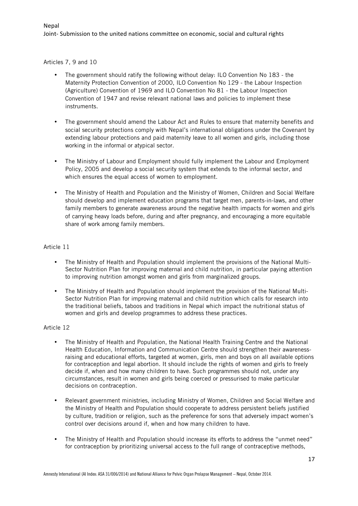Articles 7, 9 and 10

- The government should ratify the following without delay: ILO Convention No 183 the Maternity Protection Convention of 2000, ILO Convention No 129 - the Labour Inspection (Agriculture) Convention of 1969 and ILO Convention No 81 - the Labour Inspection Convention of 1947 and revise relevant national laws and policies to implement these instruments.
- The government should amend the Labour Act and Rules to ensure that maternity benefits and social security protections comply with Nepal's international obligations under the Covenant by extending labour protections and paid maternity leave to all women and girls, including those working in the informal or atypical sector.
- The Ministry of Labour and Employment should fully implement the Labour and Employment Policy, 2005 and develop a social security system that extends to the informal sector, and which ensures the equal access of women to employment.
- The Ministry of Health and Population and the Ministry of Women, Children and Social Welfare should develop and implement education programs that target men, parents-in-laws, and other family members to generate awareness around the negative health impacts for women and girls of carrying heavy loads before, during and after pregnancy, and encouraging a more equitable share of work among family members.

#### Article 11

- The Ministry of Health and Population should implement the provisions of the National Multi-Sector Nutrition Plan for improving maternal and child nutrition, in particular paying attention to improving nutrition amongst women and girls from marginalized groups.
- The Ministry of Health and Population should implement the provision of the National Multi-Sector Nutrition Plan for improving maternal and child nutrition which calls for research into the traditional beliefs, taboos and traditions in Nepal which impact the nutritional status of women and girls and develop programmes to address these practices.

#### Article 12

- The Ministry of Health and Population, the National Health Training Centre and the National Health Education, Information and Communication Centre should strengthen their awarenessraising and educational efforts, targeted at women, girls, men and boys on all available options for contraception and legal abortion. It should include the rights of women and girls to freely decide if, when and how many children to have. Such programmes should not, under any circumstances, result in women and girls being coerced or pressurised to make particular decisions on contraception.
- Relevant government ministries, including Ministry of Women, Children and Social Welfare and the Ministry of Health and Population should cooperate to address persistent beliefs justified by culture, tradition or religion, such as the preference for sons that adversely impact women's control over decisions around if, when and how many children to have.
- The Ministry of Health and Population should increase its efforts to address the "unmet need" for contraception by prioritizing universal access to the full range of contraceptive methods,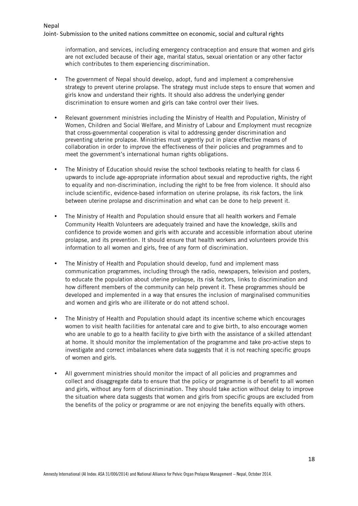Nepal

information, and services, including emergency contraception and ensure that women and girls are not excluded because of their age, marital status, sexual orientation or any other factor which contributes to them experiencing discrimination.

- The government of Nepal should develop, adopt, fund and implement a comprehensive strategy to prevent uterine prolapse. The strategy must include steps to ensure that women and girls know and understand their rights. It should also address the underlying gender discrimination to ensure women and girls can take control over their lives.
- Relevant government ministries including the Ministry of Health and Population, Ministry of Women, Children and Social Welfare, and Ministry of Labour and Employment must recognize that cross-governmental cooperation is vital to addressing gender discrimination and preventing uterine prolapse. Ministries must urgently put in place effective means of collaboration in order to improve the effectiveness of their policies and programmes and to meet the government's international human rights obligations.
- The Ministry of Education should revise the school textbooks relating to health for class 6 upwards to include age-appropriate information about sexual and reproductive rights, the right to equality and non-discrimination, including the right to be free from violence. It should also include scientific, evidence-based information on uterine prolapse, its risk factors, the link between uterine prolapse and discrimination and what can be done to help prevent it.
- The Ministry of Health and Population should ensure that all health workers and Female Community Health Volunteers are adequately trained and have the knowledge, skills and confidence to provide women and girls with accurate and accessible information about uterine prolapse, and its prevention. It should ensure that health workers and volunteers provide this information to all women and girls, free of any form of discrimination.
- The Ministry of Health and Population should develop, fund and implement mass communication programmes, including through the radio, newspapers, television and posters, to educate the population about uterine prolapse, its risk factors, links to discrimination and how different members of the community can help prevent it. These programmes should be developed and implemented in a way that ensures the inclusion of marginalised communities and women and girls who are illiterate or do not attend school.
- The Ministry of Health and Population should adapt its incentive scheme which encourages women to visit health facilities for antenatal care and to give birth, to also encourage women who are unable to go to a health facility to give birth with the assistance of a skilled attendant at home. It should monitor the implementation of the programme and take pro-active steps to investigate and correct imbalances where data suggests that it is not reaching specific groups of women and girls.
- All government ministries should monitor the impact of all policies and programmes and collect and disaggregate data to ensure that the policy or programme is of benefit to all women and girls, without any form of discrimination. They should take action without delay to improve the situation where data suggests that women and girls from specific groups are excluded from the benefits of the policy or programme or are not enjoying the benefits equally with others.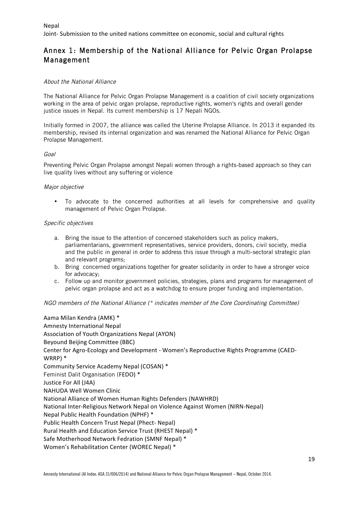# Annex 1: Membership of the National Alliance for Pelvic Organ Prolapse Management

#### About the National Alliance

The National Alliance for Pelvic Organ Prolapse Management is a coalition of civil society organizations working in the area of pelvic organ prolapse, reproductive rights, women's rights and overall gender justice issues in Nepal. Its current membership is 17 Nepali NGOs.

Initially formed in 2007, the alliance was called the Uterine Prolapse Alliance. In 2013 it expanded its membership, revised its internal organization and was renamed the National Alliance for Pelvic Organ Prolapse Management.

#### Goal

Preventing Pelvic Organ Prolapse amongst Nepali women through a rights-based approach so they can live quality lives without any suffering or violence

#### Major objective

• To advocate to the concerned authorities at all levels for comprehensive and quality management of Pelvic Organ Prolapse.

#### Specific objectives

- a. Bring the issue to the attention of concerned stakeholders such as policy makers, parliamentarians, government representatives, service providers, donors, civil society, media and the public in general in order to address this issue through a multi-sectoral strategic plan and relevant programs;
- b. Bring concerned organizations together for greater solidarity in order to have a stronger voice for advocacy;
- c. Follow up and monitor government policies, strategies, plans and programs for management of pelvic organ prolapse and act as a watchdog to ensure proper funding and implementation.

#### NGO members of the National Alliance (\* indicates member of the Core Coordinating Committee)

Aama Milan Kendra (AMK) \* Amnesty International Nepal Association of Youth Organizations Nepal (AYON) Beyound Beijing Committee (BBC) Center for Agro-Ecology and Development - Women's Reproductive Rights Programme (CAED-WRRP) \* Community Service Academy Nepal (COSAN) \* Feminist Dalit Organisation (FEDO) \* Justice For All (J4A) NAHUDA Well Women Clinic National Alliance of Women Human Rights Defenders (NAWHRD) National Inter-Religious Network Nepal on Violence Against Women (NIRN-Nepal) Nepal Public Health Foundation (NPHF) \* Public Health Concern Trust Nepal (Phect- Nepal) Rural Health and Education Service Trust (RHEST Nepal) \* Safe Motherhood Network Fedration (SMNF Nepal) \* Women's Rehabilitation Center (WOREC Nepal) \*